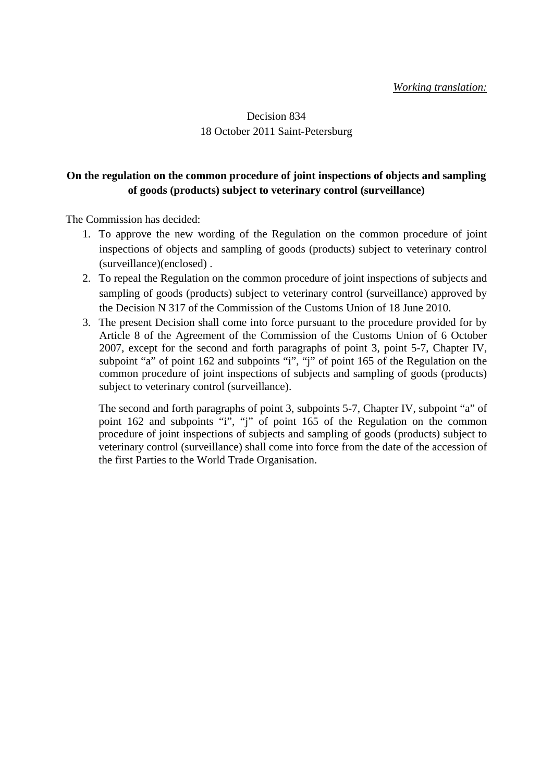## Decision 834 18 October 2011 Saint-Petersburg

#### **On the regulation on the common procedure of joint inspections of objects and sampling of goods (products) subject to veterinary control (surveillance)**

The Commission has decided:

- 1. To approve the new wording of the Regulation on the common procedure of joint inspections of objects and sampling of goods (products) subject to veterinary control (surveillance)(enclosed) .
- 2. To repeal the Regulation on the common procedure of joint inspections of subjects and sampling of goods (products) subject to veterinary control (surveillance) approved by the Decision N 317 of the Commission of the Customs Union of 18 June 2010.
- 3. The present Decision shall come into force pursuant to the procedure provided for by Article 8 of the Agreement of the Commission of the Customs Union of 6 October 2007, except for the second and forth paragraphs of point 3, point 5-7, Chapter IV, subpoint "a" of point 162 and subpoints "i", "j" of point 165 of the Regulation on the common procedure of joint inspections of subjects and sampling of goods (products) subject to veterinary control (surveillance).

The second and forth paragraphs of point 3, subpoints 5-7, Chapter IV, subpoint "a" of point 162 and subpoints "i", "j" of point 165 of the Regulation on the common procedure of joint inspections of subjects and sampling of goods (products) subject to veterinary control (surveillance) shall come into force from the date of the accession of the first Parties to the World Trade Organisation.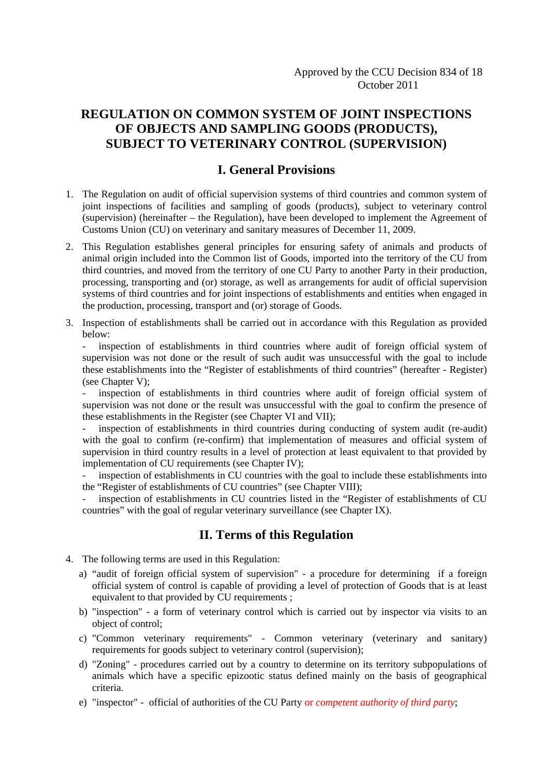# **REGULATION ON COMMON SYSTEM OF JOINT INSPECTIONS OF OBJECTS AND SAMPLING GOODS (PRODUCTS), SUBJECT TO VETERINARY CONTROL (SUPERVISION)**

## **I. General Provisions**

- 1. The Regulation on audit of official supervision systems of third countries and common system of joint inspections of facilities and sampling of goods (products), subject to veterinary control (supervision) (hereinafter – the Regulation), have been developed to implement the Agreement of Customs Union (CU) on veterinary and sanitary measures of December 11, 2009.
- 2. This Regulation establishes general principles for ensuring safety of animals and products of animal origin included into the Common list of Goods, imported into the territory of the CU from third countries, and moved from the territory of one CU Party to another Party in their production, processing, transporting and (or) storage, as well as arrangements for audit of official supervision systems of third countries and for joint inspections of establishments and entities when engaged in the production, processing, transport and (or) storage of Goods.
- 3. Inspection of establishments shall be carried out in accordance with this Regulation as provided below:

- inspection of establishments in third countries where audit of foreign official system of supervision was not done or the result of such audit was unsuccessful with the goal to include these establishments into the "Register of establishments of third countries" (hereafter - Register) (see Chapter V);

- inspection of establishments in third countries where audit of foreign official system of supervision was not done or the result was unsuccessful with the goal to confirm the presence of these establishments in the Register (see Chapter VI and VII);

inspection of establishments in third countries during conducting of system audit (re-audit) with the goal to confirm (re-confirm) that implementation of measures and official system of supervision in third country results in a level of protection at least equivalent to that provided by implementation of CU requirements (see Chapter IV);

inspection of establishments in CU countries with the goal to include these establishments into the "Register of establishments of CU countries" (see Chapter VIII);

inspection of establishments in CU countries listed in the "Register of establishments of CU countries" with the goal of regular veterinary surveillance (see Chapter IX).

## **II. Terms of this Regulation**

- 4. The following terms are used in this Regulation:
	- a) "audit of foreign official system of supervision" a procedure for determining if a foreign official system of control is capable of providing a level of protection of Goods that is at least equivalent to that provided by CU requirements ;
	- b) "inspection" a form of veterinary control which is carried out by inspector via visits to an object of control;
	- c) "Common veterinary requirements" Common veterinary (veterinary and sanitary) requirements for goods subject to veterinary control (supervision);
	- d) "Zoning" procedures carried out by a country to determine on its territory subpopulations of animals which have a specific epizootic status defined mainly on the basis of geographical criteria.
	- e) "inspector" official of authorities of the CU Party or *competent authority of third party*;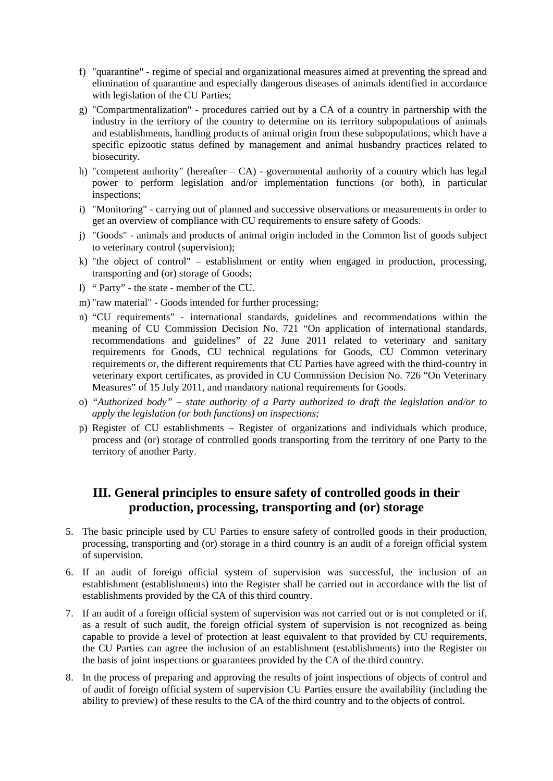- f) "quarantine" regime of special and organizational measures aimed at preventing the spread and elimination of quarantine and especially dangerous diseases of animals identified in accordance with legislation of the CU Parties;
- g) "Compartmentalization" procedures carried out by a CA of a country in partnership with the industry in the territory of the country to determine on its territory subpopulations of animals and establishments, handling products of animal origin from these subpopulations, which have a specific epizootic status defined by management and animal husbandry practices related to biosecurity.
- h) "competent authority" (hereafter CA) governmental authority of a country which has legal power to perform legislation and/or implementation functions (or both), in particular inspections;
- i) "Monitoring" carrying out of planned and successive observations or measurements in order to get an overview of compliance with CU requirements to ensure safety of Goods.
- j) "Goods" animals and products of animal origin included in the Common list of goods subject to veterinary control (supervision);
- k) "the object of control" establishment or entity when engaged in production, processing, transporting and (or) storage of Goods;
- l) " Party" the state member of the CU.
- m) "raw material" Goods intended for further processing;
- n) "CU requirements" international standards, guidelines and recommendations within the meaning of CU Commission Decision No. 721 "On application of international standards, recommendations and guidelines" of 22 June 2011 related to veterinary and sanitary requirements for Goods, CU technical regulations for Goods, CU Common veterinary requirements or, the different requirements that CU Parties have agreed with the third-country in veterinary export certificates, as provided in CU Commission Decision No. 726 "On Veterinary Measures" of 15 July 2011, and mandatory national requirements for Goods.
- o) *"Authorized body" state authority of a Party authorized to draft the legislation and/or to apply the legislation (or both functions) on inspections;*
- p) Register of CU establishments Register of organizations and individuals which produce, process and (or) storage of controlled goods transporting from the territory of one Party to the territory of another Party.

# **III. General principles to ensure safety of controlled goods in their production, processing, transporting and (or) storage**

- 5. The basic principle used by CU Parties to ensure safety of controlled goods in their production, processing, transporting and (or) storage in a third country is an audit of a foreign official system of supervision.
- 6. If an audit of foreign official system of supervision was successful, the inclusion of an establishment (establishments) into the Register shall be carried out in accordance with the list of establishments provided by the CA of this third country.
- 7. If an audit of a foreign official system of supervision was not carried out or is not completed or if, as a result of such audit, the foreign official system of supervision is not recognized as being capable to provide a level of protection at least equivalent to that provided by CU requirements, the CU Parties can agree the inclusion of an establishment (establishments) into the Register on the basis of joint inspections or guarantees provided by the CA of the third country.
- 8. In the process of preparing and approving the results of joint inspections of objects of control and of audit of foreign official system of supervision CU Parties ensure the availability (including the ability to preview) of these results to the CA of the third country and to the objects of control.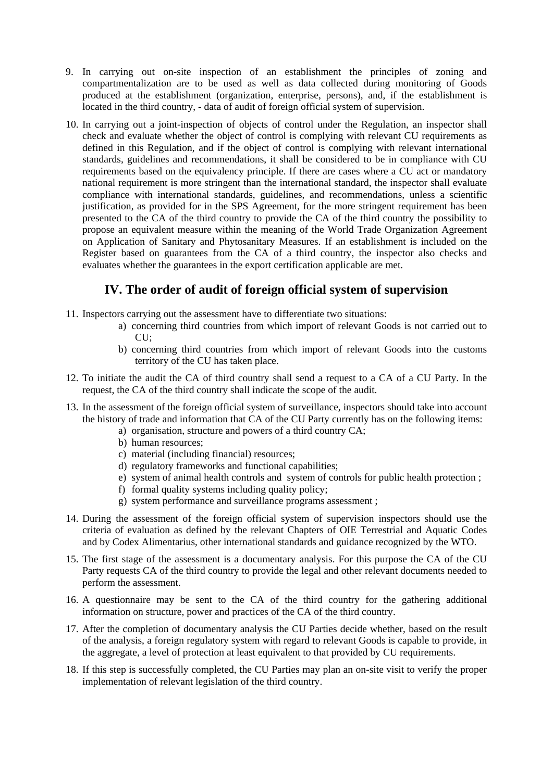- 9. In carrying out on-site inspection of an establishment the principles of zoning and compartmentalization are to be used as well as data collected during monitoring of Goods produced at the establishment (organization, enterprise, persons), and, if the establishment is located in the third country, - data of audit of foreign official system of supervision.
- 10. In carrying out a joint-inspection of objects of control under the Regulation, an inspector shall check and evaluate whether the object of control is complying with relevant CU requirements as defined in this Regulation, and if the object of control is complying with relevant international standards, guidelines and recommendations, it shall be considered to be in compliance with CU requirements based on the equivalency principle. If there are cases where a CU act or mandatory national requirement is more stringent than the international standard, the inspector shall evaluate compliance with international standards, guidelines, and recommendations, unless a scientific justification, as provided for in the SPS Agreement, for the more stringent requirement has been presented to the CA of the third country to provide the CA of the third country the possibility to propose an equivalent measure within the meaning of the World Trade Organization Agreement on Application of Sanitary and Phytosanitary Measures. If an establishment is included on the Register based on guarantees from the CA of a third country, the inspector also checks and evaluates whether the guarantees in the export certification applicable are met.

# **IV. The order of audit of foreign official system of supervision**

- 11. Inspectors carrying out the assessment have to differentiate two situations:
	- a) concerning third countries from which import of relevant Goods is not carried out to CU;
	- b) concerning third countries from which import of relevant Goods into the customs territory of the CU has taken place.
- 12. To initiate the audit the CA of third country shall send a request to a CA of a CU Party. In the request, the CA of the third country shall indicate the scope of the audit.
- 13. In the assessment of the foreign official system of surveillance, inspectors should take into account the history of trade and information that CA of the CU Party currently has on the following items:
	- a) organisation, structure and powers of a third country CA;
	- b) human resources;
	- c) material (including financial) resources;
	- d) regulatory frameworks and functional capabilities;
	- e) system of animal health controls and system of controls for public health protection ;
	- f) formal quality systems including quality policy;
	- g) system performance and surveillance programs assessment ;
- 14. During the assessment of the foreign official system of supervision inspectors should use the criteria of evaluation as defined by the relevant Chapters of OIE Terrestrial and Aquatic Codes and by Codex Alimentarius, other international standards and guidance recognized by the WTO.
- 15. The first stage of the assessment is a documentary analysis. For this purpose the CA of the CU Party requests CA of the third country to provide the legal and other relevant documents needed to perform the assessment.
- 16. A questionnaire may be sent to the CA of the third country for the gathering additional information on structure, power and practices of the CA of the third country.
- 17. After the completion of documentary analysis the CU Parties decide whether, based on the result of the analysis, a foreign regulatory system with regard to relevant Goods is capable to provide, in the aggregate, a level of protection at least equivalent to that provided by CU requirements.
- 18. If this step is successfully completed, the CU Parties may plan an on-site visit to verify the proper implementation of relevant legislation of the third country.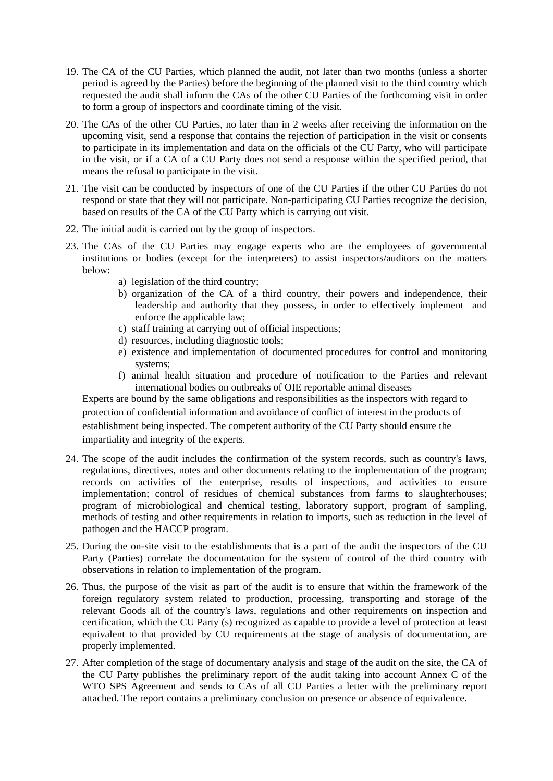- 19. The CA of the CU Parties, which planned the audit, not later than two months (unless a shorter period is agreed by the Parties) before the beginning of the planned visit to the third country which requested the audit shall inform the CAs of the other CU Parties of the forthcoming visit in order to form a group of inspectors and coordinate timing of the visit.
- 20. The CAs of the other CU Parties, no later than in 2 weeks after receiving the information on the upcoming visit, send a response that contains the rejection of participation in the visit or consents to participate in its implementation and data on the officials of the CU Party, who will participate in the visit, or if a CA of a CU Party does not send a response within the specified period, that means the refusal to participate in the visit.
- 21. The visit can be conducted by inspectors of one of the CU Parties if the other CU Parties do not respond or state that they will not participate. Non-participating CU Parties recognize the decision, based on results of the CA of the CU Party which is carrying out visit.
- 22. The initial audit is carried out by the group of inspectors.
- 23. The CAs of the CU Parties may engage experts who are the employees of governmental institutions or bodies (except for the interpreters) to assist inspectors/auditors on the matters below:
	- a) legislation of the third country;
	- b) organization of the CA of a third country, their powers and independence, their leadership and authority that they possess, in order to effectively implement and enforce the applicable law;
	- c) staff training at carrying out of official inspections;
	- d) resources, including diagnostic tools;
	- e) existence and implementation of documented procedures for control and monitoring systems;
	- f) animal health situation and procedure of notification to the Parties and relevant international bodies on outbreaks of OIE reportable animal diseases

Experts are bound by the same obligations and responsibilities as the inspectors with regard to protection of confidential information and avoidance of conflict of interest in the products of establishment being inspected. The competent authority of the CU Party should ensure the impartiality and integrity of the experts.

- 24. The scope of the audit includes the confirmation of the system records, such as country's laws, regulations, directives, notes and other documents relating to the implementation of the program; records on activities of the enterprise, results of inspections, and activities to ensure implementation; control of residues of chemical substances from farms to slaughterhouses; program of microbiological and chemical testing, laboratory support, program of sampling, methods of testing and other requirements in relation to imports, such as reduction in the level of pathogen and the HACCP program.
- 25. During the on-site visit to the establishments that is a part of the audit the inspectors of the CU Party (Parties) correlate the documentation for the system of control of the third country with observations in relation to implementation of the program.
- 26. Thus, the purpose of the visit as part of the audit is to ensure that within the framework of the foreign regulatory system related to production, processing, transporting and storage of the relevant Goods all of the country's laws, regulations and other requirements on inspection and certification, which the CU Party (s) recognized as capable to provide a level of protection at least equivalent to that provided by CU requirements at the stage of analysis of documentation, are properly implemented.
- 27. After completion of the stage of documentary analysis and stage of the audit on the site, the CA of the CU Party publishes the preliminary report of the audit taking into account Annex C of the WTO SPS Agreement and sends to CAs of all CU Parties a letter with the preliminary report attached. The report contains a preliminary conclusion on presence or absence of equivalence.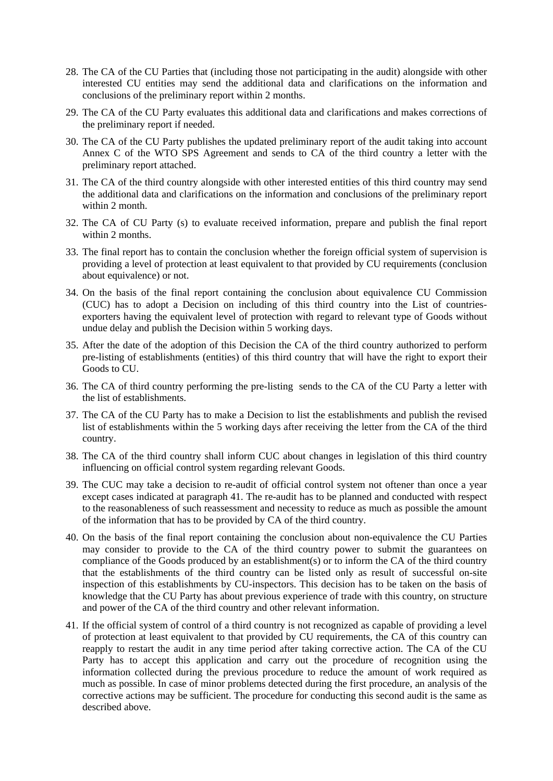- 28. The CA of the CU Parties that (including those not participating in the audit) alongside with other interested CU entities may send the additional data and clarifications on the information and conclusions of the preliminary report within 2 months.
- 29. The CA of the CU Party evaluates this additional data and clarifications and makes corrections of the preliminary report if needed.
- 30. The CA of the CU Party publishes the updated preliminary report of the audit taking into account Annex C of the WTO SPS Agreement and sends to CA of the third country a letter with the preliminary report attached.
- 31. The CA of the third country alongside with other interested entities of this third country may send the additional data and clarifications on the information and conclusions of the preliminary report within 2 month.
- 32. The CA of CU Party (s) to evaluate received information, prepare and publish the final report within 2 months.
- 33. The final report has to contain the conclusion whether the foreign official system of supervision is providing a level of protection at least equivalent to that provided by CU requirements (conclusion about equivalence) or not.
- 34. On the basis of the final report containing the conclusion about equivalence CU Commission (CUC) has to adopt a Decision on including of this third country into the List of countriesexporters having the equivalent level of protection with regard to relevant type of Goods without undue delay and publish the Decision within 5 working days.
- 35. After the date of the adoption of this Decision the CA of the third country authorized to perform pre-listing of establishments (entities) of this third country that will have the right to export their Goods to CU.
- 36. The CA of third country performing the pre-listing sends to the CA of the CU Party a letter with the list of establishments.
- 37. The CA of the CU Party has to make a Decision to list the establishments and publish the revised list of establishments within the 5 working days after receiving the letter from the CA of the third country.
- 38. The CA of the third country shall inform CUC about changes in legislation of this third country influencing on official control system regarding relevant Goods.
- 39. The CUC may take a decision to re-audit of official control system not oftener than once a year except cases indicated at paragraph 41. The re-audit has to be planned and conducted with respect to the reasonableness of such reassessment and necessity to reduce as much as possible the amount of the information that has to be provided by CA of the third country.
- 40. On the basis of the final report containing the conclusion about non-equivalence the CU Parties may consider to provide to the CA of the third country power to submit the guarantees on compliance of the Goods produced by an establishment(s) or to inform the CA of the third country that the establishments of the third country can be listed only as result of successful on-site inspection of this establishments by CU-inspectors. This decision has to be taken on the basis of knowledge that the CU Party has about previous experience of trade with this country, on structure and power of the CA of the third country and other relevant information.
- 41. If the official system of control of a third country is not recognized as capable of providing a level of protection at least equivalent to that provided by CU requirements, the CA of this country can reapply to restart the audit in any time period after taking corrective action. The CA of the CU Party has to accept this application and carry out the procedure of recognition using the information collected during the previous procedure to reduce the amount of work required as much as possible. In case of minor problems detected during the first procedure, an analysis of the corrective actions may be sufficient. The procedure for conducting this second audit is the same as described above.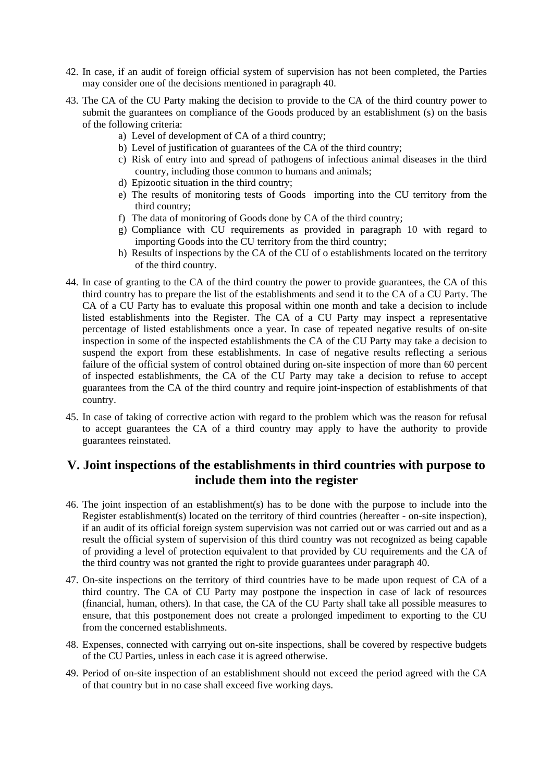- 42. In case, if an audit of foreign official system of supervision has not been completed, the Parties may consider one of the decisions mentioned in paragraph 40.
- 43. The CA of the CU Party making the decision to provide to the CA of the third country power to submit the guarantees on compliance of the Goods produced by an establishment (s) on the basis of the following criteria:
	- a) Level of development of CA of a third country;
	- b) Level of justification of guarantees of the CA of the third country;
	- c) Risk of entry into and spread of pathogens of infectious animal diseases in the third country, including those common to humans and animals;
	- d) Epizootic situation in the third country;
	- e) The results of monitoring tests of Goods importing into the CU territory from the third country;
	- f) The data of monitoring of Goods done by CA of the third country;
	- g) Compliance with CU requirements as provided in paragraph 10 with regard to importing Goods into the CU territory from the third country;
	- h) Results of inspections by the CA of the CU of o establishments located on the territory of the third country.
- 44. In case of granting to the CA of the third country the power to provide guarantees, the CA of this third country has to prepare the list of the establishments and send it to the CA of a CU Party. The CA of a CU Party has to evaluate this proposal within one month and take a decision to include listed establishments into the Register. The CA of a CU Party may inspect a representative percentage of listed establishments once a year. In case of repeated negative results of on-site inspection in some of the inspected establishments the CA of the CU Party may take a decision to suspend the export from these establishments. In case of negative results reflecting a serious failure of the official system of control obtained during on-site inspection of more than 60 percent of inspected establishments, the CA of the CU Party may take a decision to refuse to accept guarantees from the CA of the third country and require joint-inspection of establishments of that country.
- 45. In case of taking of corrective action with regard to the problem which was the reason for refusal to accept guarantees the CA of a third country may apply to have the authority to provide guarantees reinstated.

# **V. Joint inspections of the establishments in third countries with purpose to include them into the register**

- 46. The joint inspection of an establishment(s) has to be done with the purpose to include into the Register establishment(s) located on the territory of third countries (hereafter - on-site inspection), if an audit of its official foreign system supervision was not carried out or was carried out and as a result the official system of supervision of this third country was not recognized as being capable of providing a level of protection equivalent to that provided by CU requirements and the CA of the third country was not granted the right to provide guarantees under paragraph 40.
- 47. On-site inspections on the territory of third countries have to be made upon request of CA of a third country. The CA of CU Party may postpone the inspection in case of lack of resources (financial, human, others). In that case, the CA of the CU Party shall take all possible measures to ensure, that this postponement does not create a prolonged impediment to exporting to the CU from the concerned establishments.
- 48. Expenses, connected with carrying out on-site inspections, shall be covered by respective budgets of the CU Parties, unless in each case it is agreed otherwise.
- 49. Period of on-site inspection of an establishment should not exceed the period agreed with the CA of that country but in no case shall exceed five working days.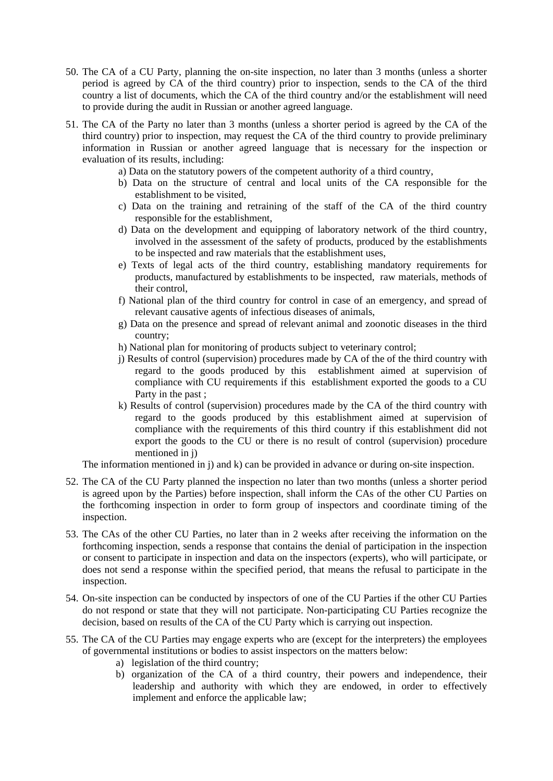- 50. The CA of a CU Party, planning the on-site inspection, no later than 3 months (unless a shorter period is agreed by CA of the third country) prior to inspection, sends to the CA of the third country a list of documents, which the CA of the third country and/or the establishment will need to provide during the audit in Russian or another agreed language.
- 51. The CA of the Party no later than 3 months (unless a shorter period is agreed by the CA of the third country) prior to inspection, may request the CA of the third country to provide preliminary information in Russian or another agreed language that is necessary for the inspection or evaluation of its results, including:
	- a) Data on the statutory powers of the competent authority of a third country,
	- b) Data on the structure of central and local units of the CA responsible for the establishment to be visited,
	- c) Data on the training and retraining of the staff of the CA of the third country responsible for the establishment,
	- d) Data on the development and equipping of laboratory network of the third country, involved in the assessment of the safety of products, produced by the establishments to be inspected and raw materials that the establishment uses,
	- e) Texts of legal acts of the third country, establishing mandatory requirements for products, manufactured by establishments to be inspected, raw materials, methods of their control,
	- f) National plan of the third country for control in case of an emergency, and spread of relevant causative agents of infectious diseases of animals,
	- g) Data on the presence and spread of relevant animal and zoonotic diseases in the third country;
	- h) National plan for monitoring of products subject to veterinary control;
	- j) Results of control (supervision) procedures made by CA of the of the third country with regard to the goods produced by this establishment aimed at supervision of compliance with CU requirements if this establishment exported the goods to a CU Party in the past ;
	- k) Results of control (supervision) procedures made by the CA of the third country with regard to the goods produced by this establishment aimed at supervision of compliance with the requirements of this third country if this establishment did not export the goods to the CU or there is no result of control (supervision) procedure mentioned in j)

The information mentioned in j) and k) can be provided in advance or during on-site inspection.

- 52. The CA of the CU Party planned the inspection no later than two months (unless a shorter period is agreed upon by the Parties) before inspection, shall inform the CAs of the other CU Parties on the forthcoming inspection in order to form group of inspectors and coordinate timing of the inspection.
- 53. The CAs of the other CU Parties, no later than in 2 weeks after receiving the information on the forthcoming inspection, sends a response that contains the denial of participation in the inspection or consent to participate in inspection and data on the inspectors (experts), who will participate, or does not send a response within the specified period, that means the refusal to participate in the inspection.
- 54. On-site inspection can be conducted by inspectors of one of the CU Parties if the other CU Parties do not respond or state that they will not participate. Non-participating CU Parties recognize the decision, based on results of the CA of the CU Party which is carrying out inspection.
- 55. The CA of the CU Parties may engage experts who are (except for the interpreters) the employees of governmental institutions or bodies to assist inspectors on the matters below:
	- a) legislation of the third country;
	- b) organization of the CA of a third country, their powers and independence, their leadership and authority with which they are endowed, in order to effectively implement and enforce the applicable law;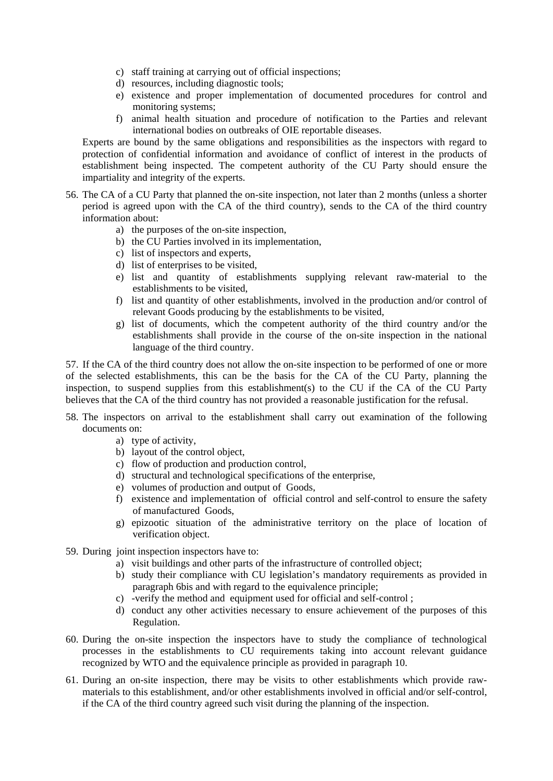- c) staff training at carrying out of official inspections;
- d) resources, including diagnostic tools;
- e) existence and proper implementation of documented procedures for control and monitoring systems;
- f) animal health situation and procedure of notification to the Parties and relevant international bodies on outbreaks of OIE reportable diseases.

Experts are bound by the same obligations and responsibilities as the inspectors with regard to protection of confidential information and avoidance of conflict of interest in the products of establishment being inspected. The competent authority of the CU Party should ensure the impartiality and integrity of the experts.

- 56. The CA of a CU Party that planned the on-site inspection, not later than 2 months (unless a shorter period is agreed upon with the CA of the third country), sends to the CA of the third country information about:
	- a) the purposes of the on-site inspection,
	- b) the CU Parties involved in its implementation,
	- c) list of inspectors and experts,
	- d) list of enterprises to be visited,
	- e) list and quantity of establishments supplying relevant raw-material to the establishments to be visited,
	- f) list and quantity of other establishments, involved in the production and/or control of relevant Goods producing by the establishments to be visited,
	- g) list of documents, which the competent authority of the third country and/or the establishments shall provide in the course of the on-site inspection in the national language of the third country.

57. If the CA of the third country does not allow the on-site inspection to be performed of one or more of the selected establishments, this can be the basis for the CA of the CU Party, planning the inspection, to suspend supplies from this establishment(s) to the CU if the CA of the CU Party believes that the CA of the third country has not provided a reasonable justification for the refusal.

- 58. The inspectors on arrival to the establishment shall carry out examination of the following documents on:
	- a) type of activity,
	- b) layout of the control object,
	- c) flow of production and production control,
	- d) structural and technological specifications of the enterprise,
	- e) volumes of production and output of Goods,
	- f) existence and implementation of official control and self-control to ensure the safety of manufactured Goods,
	- g) epizootic situation of the administrative territory on the place of location of verification object.
- 59. During joint inspection inspectors have to:
	- a) visit buildings and other parts of the infrastructure of controlled object;
	- b) study their compliance with CU legislation's mandatory requirements as provided in paragraph 6bis and with regard to the equivalence principle;
	- c) -verify the method and equipment used for official and self-control ;
	- d) conduct any other activities necessary to ensure achievement of the purposes of this Regulation.
- 60. During the on-site inspection the inspectors have to study the compliance of technological processes in the establishments to CU requirements taking into account relevant guidance recognized by WTO and the equivalence principle as provided in paragraph 10.
- 61. During an on-site inspection, there may be visits to other establishments which provide rawmaterials to this establishment, and/or other establishments involved in official and/or self-control, if the CA of the third country agreed such visit during the planning of the inspection.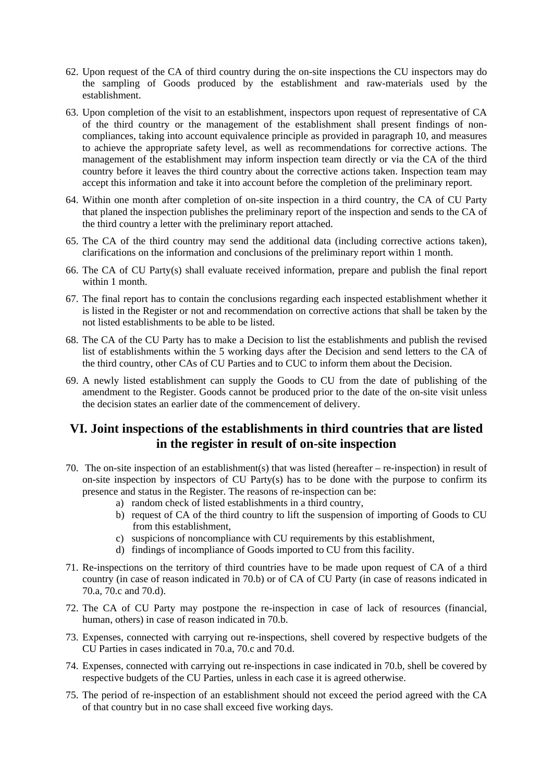- 62. Upon request of the CA of third country during the on-site inspections the CU inspectors may do the sampling of Goods produced by the establishment and raw-materials used by the establishment.
- 63. Upon completion of the visit to an establishment, inspectors upon request of representative of CA of the third country or the management of the establishment shall present findings of noncompliances, taking into account equivalence principle as provided in paragraph 10, and measures to achieve the appropriate safety level, as well as recommendations for corrective actions. The management of the establishment may inform inspection team directly or via the CA of the third country before it leaves the third country about the corrective actions taken. Inspection team may accept this information and take it into account before the completion of the preliminary report.
- 64. Within one month after completion of on-site inspection in a third country, the CA of CU Party that planed the inspection publishes the preliminary report of the inspection and sends to the CA of the third country a letter with the preliminary report attached.
- 65. The CA of the third country may send the additional data (including corrective actions taken), clarifications on the information and conclusions of the preliminary report within 1 month.
- 66. The CA of CU Party(s) shall evaluate received information, prepare and publish the final report within 1 month.
- 67. The final report has to contain the conclusions regarding each inspected establishment whether it is listed in the Register or not and recommendation on corrective actions that shall be taken by the not listed establishments to be able to be listed.
- 68. The CA of the CU Party has to make a Decision to list the establishments and publish the revised list of establishments within the 5 working days after the Decision and send letters to the CA of the third country, other CAs of CU Parties and to CUC to inform them about the Decision.
- 69. A newly listed establishment can supply the Goods to CU from the date of publishing of the amendment to the Register. Goods cannot be produced prior to the date of the on-site visit unless the decision states an earlier date of the commencement of delivery.

# **VI. Joint inspections of the establishments in third countries that are listed in the register in result of on-site inspection**

- 70. The on-site inspection of an establishment(s) that was listed (hereafter re-inspection) in result of on-site inspection by inspectors of CU Party(s) has to be done with the purpose to confirm its presence and status in the Register. The reasons of re-inspection can be:
	- a) random check of listed establishments in a third country,
	- b) request of CA of the third country to lift the suspension of importing of Goods to CU from this establishment,
	- c) suspicions of noncompliance with CU requirements by this establishment,
	- d) findings of incompliance of Goods imported to CU from this facility.
- 71. Re-inspections on the territory of third countries have to be made upon request of CA of a third country (in case of reason indicated in 70.b) or of CA of CU Party (in case of reasons indicated in 70.a, 70.c and 70.d).
- 72. The CA of CU Party may postpone the re-inspection in case of lack of resources (financial, human, others) in case of reason indicated in 70.b.
- 73. Expenses, connected with carrying out re-inspections, shell covered by respective budgets of the CU Parties in cases indicated in 70.a, 70.c and 70.d.
- 74. Expenses, connected with carrying out re-inspections in case indicated in 70.b, shell be covered by respective budgets of the CU Parties, unless in each case it is agreed otherwise.
- 75. The period of re-inspection of an establishment should not exceed the period agreed with the CA of that country but in no case shall exceed five working days.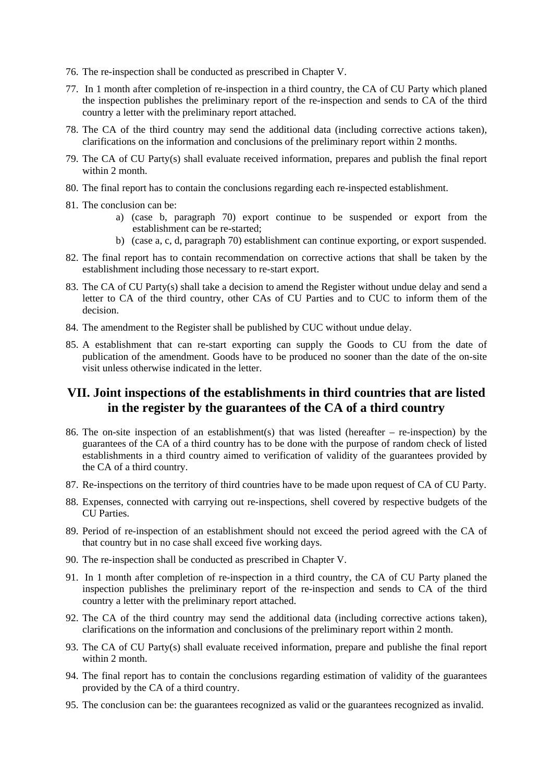- 76. The re-inspection shall be conducted as prescribed in Chapter V.
- 77. In 1 month after completion of re-inspection in a third country, the CA of CU Party which planed the inspection publishes the preliminary report of the re-inspection and sends to CA of the third country a letter with the preliminary report attached.
- 78. The CA of the third country may send the additional data (including corrective actions taken), clarifications on the information and conclusions of the preliminary report within 2 months.
- 79. The CA of CU Party(s) shall evaluate received information, prepares and publish the final report within 2 month.
- 80. The final report has to contain the conclusions regarding each re-inspected establishment.
- 81. The conclusion can be:
	- a) (case b, paragraph 70) export continue to be suspended or export from the establishment can be re-started;
	- b) (case a, c, d, paragraph 70) establishment can continue exporting, or export suspended.
- 82. The final report has to contain recommendation on corrective actions that shall be taken by the establishment including those necessary to re-start export.
- 83. The CA of CU Party(s) shall take a decision to amend the Register without undue delay and send a letter to CA of the third country, other CAs of CU Parties and to CUC to inform them of the decision.
- 84. The amendment to the Register shall be published by CUC without undue delay.
- 85. A establishment that can re-start exporting can supply the Goods to CU from the date of publication of the amendment. Goods have to be produced no sooner than the date of the on-site visit unless otherwise indicated in the letter.

# **VII. Joint inspections of the establishments in third countries that are listed in the register by the guarantees of the CA of a third country**

- 86. The on-site inspection of an establishment(s) that was listed (hereafter re-inspection) by the guarantees of the CA of a third country has to be done with the purpose of random check of listed establishments in a third country aimed to verification of validity of the guarantees provided by the CA of a third country.
- 87. Re-inspections on the territory of third countries have to be made upon request of CA of CU Party.
- 88. Expenses, connected with carrying out re-inspections, shell covered by respective budgets of the CU Parties.
- 89. Period of re-inspection of an establishment should not exceed the period agreed with the CA of that country but in no case shall exceed five working days.
- 90. The re-inspection shall be conducted as prescribed in Chapter V.
- 91. In 1 month after completion of re-inspection in a third country, the CA of CU Party planed the inspection publishes the preliminary report of the re-inspection and sends to CA of the third country a letter with the preliminary report attached.
- 92. The CA of the third country may send the additional data (including corrective actions taken), clarifications on the information and conclusions of the preliminary report within 2 month.
- 93. The CA of CU Party(s) shall evaluate received information, prepare and publishe the final report within 2 month.
- 94. The final report has to contain the conclusions regarding estimation of validity of the guarantees provided by the CA of a third country.
- 95. The conclusion can be: the guarantees recognized as valid or the guarantees recognized as invalid.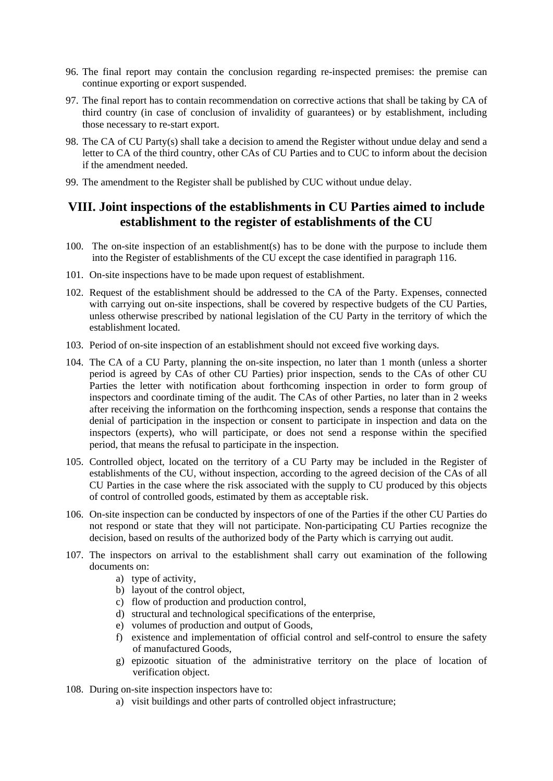- 96. The final report may contain the conclusion regarding re-inspected premises: the premise can continue exporting or export suspended.
- 97. The final report has to contain recommendation on corrective actions that shall be taking by CA of third country (in case of conclusion of invalidity of guarantees) or by establishment, including those necessary to re-start export.
- 98. The CA of CU Party(s) shall take a decision to amend the Register without undue delay and send a letter to CA of the third country, other CAs of CU Parties and to CUC to inform about the decision if the amendment needed.
- 99. The amendment to the Register shall be published by CUC without undue delay.

#### **VIII. Joint inspections of the establishments in CU Parties aimed to include establishment to the register of establishments of the CU**

- 100. The on-site inspection of an establishment(s) has to be done with the purpose to include them into the Register of establishments of the CU except the case identified in paragraph 116.
- 101. On-site inspections have to be made upon request of establishment.
- 102. Request of the establishment should be addressed to the CA of the Party. Expenses, connected with carrying out on-site inspections, shall be covered by respective budgets of the CU Parties, unless otherwise prescribed by national legislation of the CU Party in the territory of which the establishment located.
- 103. Period of on-site inspection of an establishment should not exceed five working days.
- 104. The CA of a CU Party, planning the on-site inspection, no later than 1 month (unless a shorter period is agreed by CAs of other CU Parties) prior inspection, sends to the CAs of other CU Parties the letter with notification about forthcoming inspection in order to form group of inspectors and coordinate timing of the audit. The CAs of other Parties, no later than in 2 weeks after receiving the information on the forthcoming inspection, sends a response that contains the denial of participation in the inspection or consent to participate in inspection and data on the inspectors (experts), who will participate, or does not send a response within the specified period, that means the refusal to participate in the inspection.
- 105. Controlled object, located on the territory of a CU Party may be included in the Register of establishments of the CU, without inspection, according to the agreed decision of the CAs of all CU Parties in the case where the risk associated with the supply to CU produced by this objects of control of controlled goods, estimated by them as acceptable risk.
- 106. On-site inspection can be conducted by inspectors of one of the Parties if the other CU Parties do not respond or state that they will not participate. Non-participating CU Parties recognize the decision, based on results of the authorized body of the Party which is carrying out audit.
- 107. The inspectors on arrival to the establishment shall carry out examination of the following documents on:
	- a) type of activity,
	- b) layout of the control object,
	- c) flow of production and production control,
	- d) structural and technological specifications of the enterprise,
	- e) volumes of production and output of Goods,
	- f) existence and implementation of official control and self-control to ensure the safety of manufactured Goods,
	- g) epizootic situation of the administrative territory on the place of location of verification object.
- 108. During on-site inspection inspectors have to:
	- a) visit buildings and other parts of controlled object infrastructure;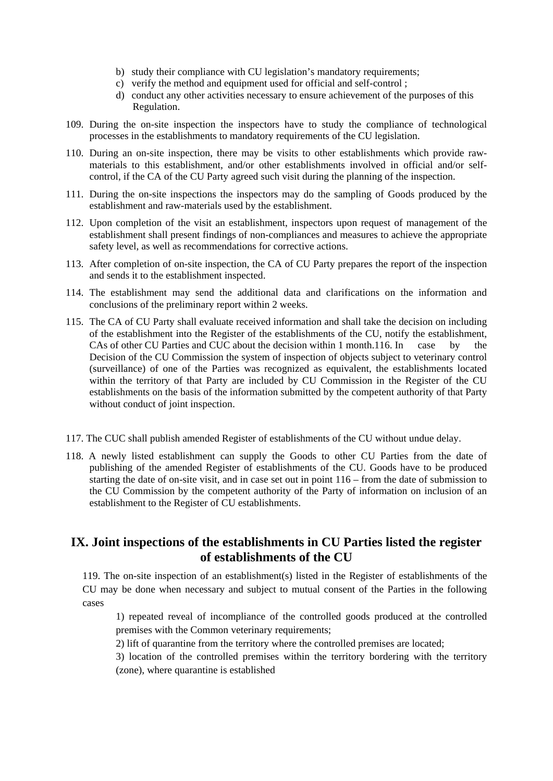- b) study their compliance with CU legislation's mandatory requirements;
- c) verify the method and equipment used for official and self-control ;
- d) conduct any other activities necessary to ensure achievement of the purposes of this Regulation.
- 109. During the on-site inspection the inspectors have to study the compliance of technological processes in the establishments to mandatory requirements of the CU legislation.
- 110. During an on-site inspection, there may be visits to other establishments which provide rawmaterials to this establishment, and/or other establishments involved in official and/or selfcontrol, if the CA of the CU Party agreed such visit during the planning of the inspection.
- 111. During the on-site inspections the inspectors may do the sampling of Goods produced by the establishment and raw-materials used by the establishment.
- 112. Upon completion of the visit an establishment, inspectors upon request of management of the establishment shall present findings of non-compliances and measures to achieve the appropriate safety level, as well as recommendations for corrective actions.
- 113. After completion of on-site inspection, the CA of CU Party prepares the report of the inspection and sends it to the establishment inspected.
- 114. The establishment may send the additional data and clarifications on the information and conclusions of the preliminary report within 2 weeks.
- 115. The CA of CU Party shall evaluate received information and shall take the decision on including of the establishment into the Register of the establishments of the CU, notify the establishment, CAs of other CU Parties and CUC about the decision within 1 month.116. In case by the Decision of the CU Commission the system of inspection of objects subject to veterinary control (surveillance) of one of the Parties was recognized as equivalent, the establishments located within the territory of that Party are included by CU Commission in the Register of the CU establishments on the basis of the information submitted by the competent authority of that Party without conduct of joint inspection.
- 117. The CUC shall publish amended Register of establishments of the CU without undue delay.
- 118. A newly listed establishment can supply the Goods to other CU Parties from the date of publishing of the amended Register of establishments of the CU. Goods have to be produced starting the date of on-site visit, and in case set out in point 116 – from the date of submission to the CU Commission by the competent authority of the Party of information on inclusion of an establishment to the Register of CU establishments.

#### **IX. Joint inspections of the establishments in CU Parties listed the register of establishments of the CU**

119. The on-site inspection of an establishment(s) listed in the Register of establishments of the CU may be done when necessary and subject to mutual consent of the Parties in the following cases

1) repeated reveal of incompliance of the controlled goods produced at the controlled premises with the Common veterinary requirements;

2) lift of quarantine from the territory where the controlled premises are located;

3) location of the controlled premises within the territory bordering with the territory (zone), where quarantine is established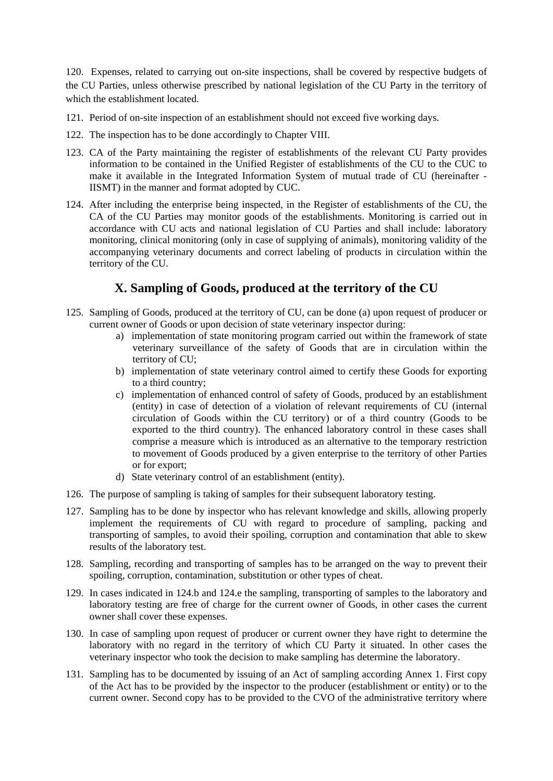120. Expenses, related to carrying out on-site inspections, shall be covered by respective budgets of the CU Parties, unless otherwise prescribed by national legislation of the CU Party in the territory of which the establishment located.

- 121. Period of on-site inspection of an establishment should not exceed five working days.
- 122. The inspection has to be done accordingly to Chapter VIII.
- 123. CA of the Party maintaining the register of establishments of the relevant CU Party provides information to be contained in the Unified Register of establishments of the CU to the CUC to make it available in the Integrated Information System of mutual trade of CU (hereinafter - IISMT) in the manner and format adopted by CUC.
- 124. After including the enterprise being inspected, in the Register of establishments of the CU, the CA of the CU Parties may monitor goods of the establishments. Monitoring is carried out in accordance with CU acts and national legislation of CU Parties and shall include: laboratory monitoring, clinical monitoring (only in case of supplying of animals), monitoring validity of the accompanying veterinary documents and correct labeling of products in circulation within the territory of the CU.

# **X. Sampling of Goods, produced at the territory of the CU**

- 125. Sampling of Goods, produced at the territory of CU, can be done (a) upon request of producer or current owner of Goods or upon decision of state veterinary inspector during:
	- a) implementation of state monitoring program carried out within the framework of state veterinary surveillance of the safety of Goods that are in circulation within the territory of CU;
	- b) implementation of state veterinary control aimed to certify these Goods for exporting to a third country;
	- c) implementation of enhanced control of safety of Goods, produced by an establishment (entity) in case of detection of a violation of relevant requirements of CU (internal circulation of Goods within the CU territory) or of a third country (Goods to be exported to the third country). The enhanced laboratory control in these cases shall comprise a measure which is introduced as an alternative to the temporary restriction to movement of Goods produced by a given enterprise to the territory of other Parties or for export;
	- d) State veterinary control of an establishment (entity).
- 126. The purpose of sampling is taking of samples for their subsequent laboratory testing.
- 127. Sampling has to be done by inspector who has relevant knowledge and skills, allowing properly implement the requirements of CU with regard to procedure of sampling, packing and transporting of samples, to avoid their spoiling, corruption and contamination that able to skew results of the laboratory test.
- 128. Sampling, recording and transporting of samples has to be arranged on the way to prevent their spoiling, corruption, contamination, substitution or other types of cheat.
- 129. In cases indicated in 124.b and 124.e the sampling, transporting of samples to the laboratory and laboratory testing are free of charge for the current owner of Goods, in other cases the current owner shall cover these expenses.
- 130. In case of sampling upon request of producer or current owner they have right to determine the laboratory with no regard in the territory of which CU Party it situated. In other cases the veterinary inspector who took the decision to make sampling has determine the laboratory.
- 131. Sampling has to be documented by issuing of an Act of sampling according Annex 1. First copy of the Act has to be provided by the inspector to the producer (establishment or entity) or to the current owner. Second copy has to be provided to the CVO of the administrative territory where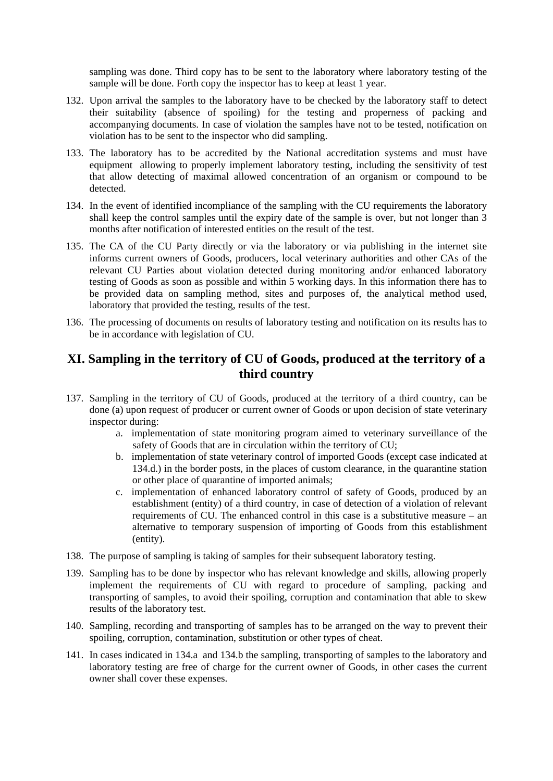sampling was done. Third copy has to be sent to the laboratory where laboratory testing of the sample will be done. Forth copy the inspector has to keep at least 1 year.

- 132. Upon arrival the samples to the laboratory have to be checked by the laboratory staff to detect their suitability (absence of spoiling) for the testing and properness of packing and accompanying documents. In case of violation the samples have not to be tested, notification on violation has to be sent to the inspector who did sampling.
- 133. The laboratory has to be accredited by the National accreditation systems and must have equipment allowing to properly implement laboratory testing, including the sensitivity of test that allow detecting of maximal allowed concentration of an organism or compound to be detected.
- 134. In the event of identified incompliance of the sampling with the CU requirements the laboratory shall keep the control samples until the expiry date of the sample is over, but not longer than 3 months after notification of interested entities on the result of the test.
- 135. The CA of the CU Party directly or via the laboratory or via publishing in the internet site informs current owners of Goods, producers, local veterinary authorities and other CAs of the relevant CU Parties about violation detected during monitoring and/or enhanced laboratory testing of Goods as soon as possible and within 5 working days. In this information there has to be provided data on sampling method, sites and purposes of, the analytical method used, laboratory that provided the testing, results of the test.
- 136. The processing of documents on results of laboratory testing and notification on its results has to be in accordance with legislation of CU.

# **XI. Sampling in the territory of CU of Goods, produced at the territory of a third country**

- 137. Sampling in the territory of CU of Goods, produced at the territory of a third country, can be done (a) upon request of producer or current owner of Goods or upon decision of state veterinary inspector during:
	- a. implementation of state monitoring program aimed to veterinary surveillance of the safety of Goods that are in circulation within the territory of CU;
	- b. implementation of state veterinary control of imported Goods (except case indicated at 134.d.) in the border posts, in the places of custom clearance, in the quarantine station or other place of quarantine of imported animals;
	- c. implementation of enhanced laboratory control of safety of Goods, produced by an establishment (entity) of a third country, in case of detection of a violation of relevant requirements of CU. The enhanced control in this case is a substitutive measure – an alternative to temporary suspension of importing of Goods from this establishment (entity).
- 138. The purpose of sampling is taking of samples for their subsequent laboratory testing.
- 139. Sampling has to be done by inspector who has relevant knowledge and skills, allowing properly implement the requirements of CU with regard to procedure of sampling, packing and transporting of samples, to avoid their spoiling, corruption and contamination that able to skew results of the laboratory test.
- 140. Sampling, recording and transporting of samples has to be arranged on the way to prevent their spoiling, corruption, contamination, substitution or other types of cheat.
- 141. In cases indicated in 134.a and 134.b the sampling, transporting of samples to the laboratory and laboratory testing are free of charge for the current owner of Goods, in other cases the current owner shall cover these expenses.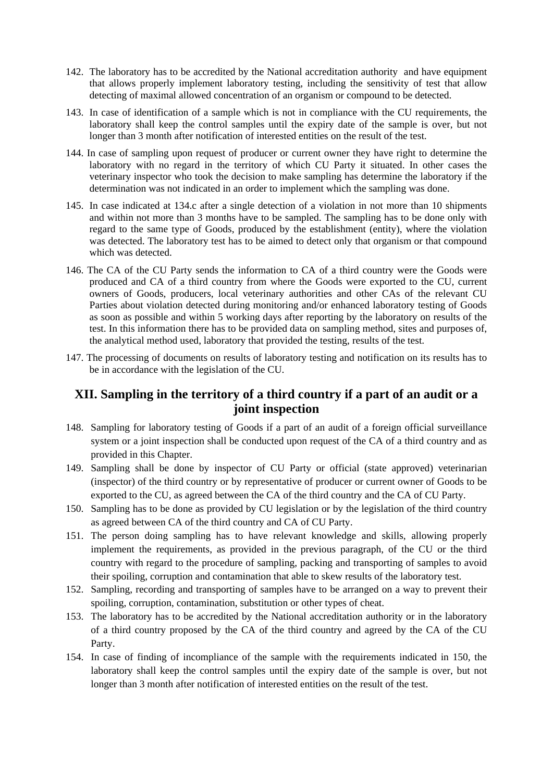- 142. The laboratory has to be accredited by the National accreditation authority and have equipment that allows properly implement laboratory testing, including the sensitivity of test that allow detecting of maximal allowed concentration of an organism or compound to be detected.
- 143. In case of identification of a sample which is not in compliance with the CU requirements, the laboratory shall keep the control samples until the expiry date of the sample is over, but not longer than 3 month after notification of interested entities on the result of the test.
- 144. In case of sampling upon request of producer or current owner they have right to determine the laboratory with no regard in the territory of which CU Party it situated. In other cases the veterinary inspector who took the decision to make sampling has determine the laboratory if the determination was not indicated in an order to implement which the sampling was done.
- 145. In case indicated at 134.c after a single detection of a violation in not more than 10 shipments and within not more than 3 months have to be sampled. The sampling has to be done only with regard to the same type of Goods, produced by the establishment (entity), where the violation was detected. The laboratory test has to be aimed to detect only that organism or that compound which was detected.
- 146. The CA of the CU Party sends the information to CA of a third country were the Goods were produced and CA of a third country from where the Goods were exported to the CU, current owners of Goods, producers, local veterinary authorities and other CAs of the relevant CU Parties about violation detected during monitoring and/or enhanced laboratory testing of Goods as soon as possible and within 5 working days after reporting by the laboratory on results of the test. In this information there has to be provided data on sampling method, sites and purposes of, the analytical method used, laboratory that provided the testing, results of the test.
- 147. The processing of documents on results of laboratory testing and notification on its results has to be in accordance with the legislation of the CU.

# **XII. Sampling in the territory of a third country if a part of an audit or a joint inspection**

- 148. Sampling for laboratory testing of Goods if a part of an audit of a foreign official surveillance system or a joint inspection shall be conducted upon request of the CA of a third country and as provided in this Chapter.
- 149. Sampling shall be done by inspector of CU Party or official (state approved) veterinarian (inspector) of the third country or by representative of producer or current owner of Goods to be exported to the CU, as agreed between the CA of the third country and the CA of CU Party.
- 150. Sampling has to be done as provided by CU legislation or by the legislation of the third country as agreed between CA of the third country and CA of CU Party.
- 151. The person doing sampling has to have relevant knowledge and skills, allowing properly implement the requirements, as provided in the previous paragraph, of the CU or the third country with regard to the procedure of sampling, packing and transporting of samples to avoid their spoiling, corruption and contamination that able to skew results of the laboratory test.
- 152. Sampling, recording and transporting of samples have to be arranged on a way to prevent their spoiling, corruption, contamination, substitution or other types of cheat.
- 153. The laboratory has to be accredited by the National accreditation authority or in the laboratory of a third country proposed by the CA of the third country and agreed by the CA of the CU Party.
- 154. In case of finding of incompliance of the sample with the requirements indicated in 150, the laboratory shall keep the control samples until the expiry date of the sample is over, but not longer than 3 month after notification of interested entities on the result of the test.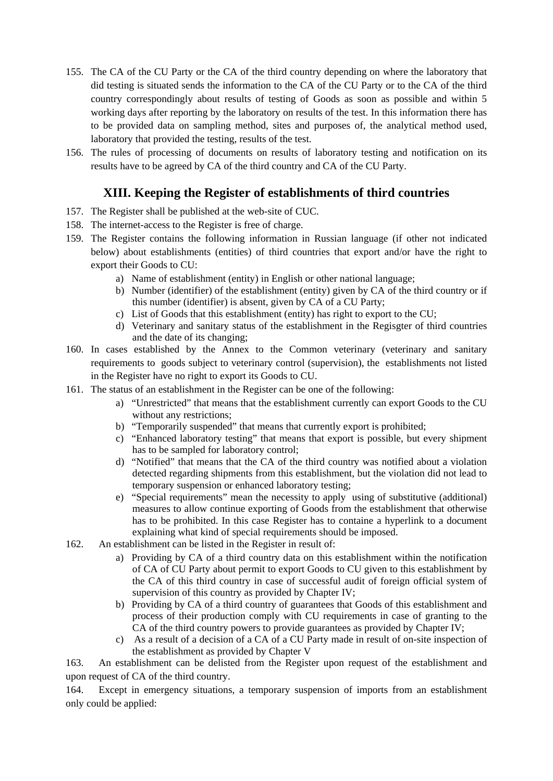- 155. The CA of the CU Party or the CA of the third country depending on where the laboratory that did testing is situated sends the information to the CA of the CU Party or to the CA of the third country correspondingly about results of testing of Goods as soon as possible and within 5 working days after reporting by the laboratory on results of the test. In this information there has to be provided data on sampling method, sites and purposes of, the analytical method used, laboratory that provided the testing, results of the test.
- 156. The rules of processing of documents on results of laboratory testing and notification on its results have to be agreed by CA of the third country and CA of the CU Party.

# **XIII. Keeping the Register of establishments of third countries**

- 157. The Register shall be published at the web-site of CUC.
- 158. The internet-access to the Register is free of charge.
- 159. The Register contains the following information in Russian language (if other not indicated below) about establishments (entities) of third countries that export and/or have the right to export their Goods to CU:
	- a) Name of establishment (entity) in English or other national language;
	- b) Number (identifier) of the establishment (entity) given by CA of the third country or if this number (identifier) is absent, given by CA of a CU Party;
	- c) List of Goods that this establishment (entity) has right to export to the CU;
	- d) Veterinary and sanitary status of the establishment in the Regisgter of third countries and the date of its changing;
- 160. In cases established by the Annex to the Common veterinary (veterinary and sanitary requirements to goods subject to veterinary control (supervision), the establishments not listed in the Register have no right to export its Goods to CU.
- 161. The status of an establishment in the Register can be one of the following:
	- a) "Unrestricted" that means that the establishment currently can export Goods to the CU without any restrictions;
	- b) "Temporarily suspended" that means that currently export is prohibited;
	- c) "Enhanced laboratory testing" that means that export is possible, but every shipment has to be sampled for laboratory control;
	- d) "Notified" that means that the CA of the third country was notified about a violation detected regarding shipments from this establishment, but the violation did not lead to temporary suspension or enhanced laboratory testing;
	- e) "Special requirements" mean the necessity to apply using of substitutive (additional) measures to allow continue exporting of Goods from the establishment that otherwise has to be prohibited. In this case Register has to containe a hyperlink to a document explaining what kind of special requirements should be imposed.
- 162. An establishment can be listed in the Register in result of:
	- a) Providing by CA of a third country data on this establishment within the notification of CA of CU Party about permit to export Goods to CU given to this establishment by the CA of this third country in case of successful audit of foreign official system of supervision of this country as provided by Chapter IV;
	- b) Providing by CA of a third country of guarantees that Goods of this establishment and process of their production comply with CU requirements in case of granting to the CA of the third country powers to provide guarantees as provided by Chapter IV;
	- c) As a result of a decision of a CA of a CU Party made in result of on-site inspection of the establishment as provided by Chapter V

163. An establishment can be delisted from the Register upon request of the establishment and upon request of CA of the third country.

164. Except in emergency situations, a temporary suspension of imports from an establishment only could be applied: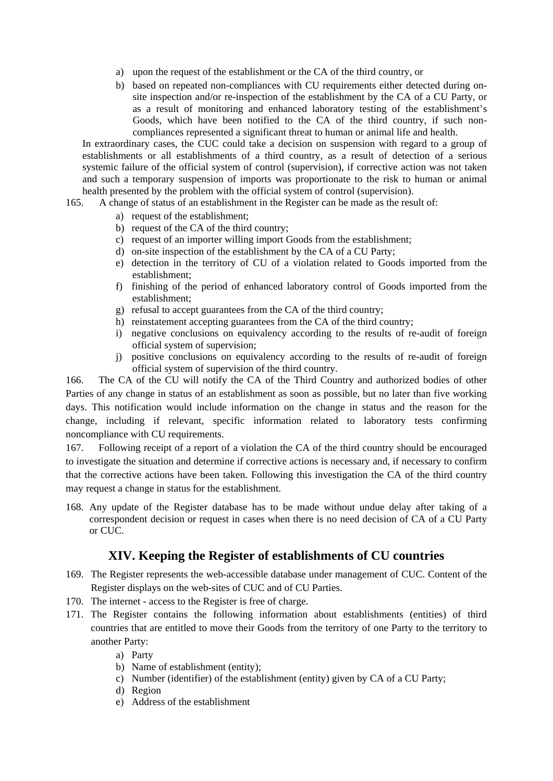- a) upon the request of the establishment or the CA of the third country, or
- b) based on repeated non-compliances with CU requirements either detected during onsite inspection and/or re-inspection of the establishment by the CA of a CU Party, or as a result of monitoring and enhanced laboratory testing of the establishment's Goods, which have been notified to the CA of the third country, if such noncompliances represented a significant threat to human or animal life and health.

In extraordinary cases, the CUC could take a decision on suspension with regard to a group of establishments or all establishments of a third country, as a result of detection of a serious systemic failure of the official system of control (supervision), if corrective action was not taken and such a temporary suspension of imports was proportionate to the risk to human or animal health presented by the problem with the official system of control (supervision).

- 165. A change of status of an establishment in the Register can be made as the result of:
	- a) request of the establishment;
	- b) request of the CA of the third country;
	- c) request of an importer willing import Goods from the establishment;
	- d) on-site inspection of the establishment by the CA of a CU Party;
	- e) detection in the territory of CU of a violation related to Goods imported from the establishment;
	- f) finishing of the period of enhanced laboratory control of Goods imported from the establishment;
	- g) refusal to accept guarantees from the CA of the third country;
	- h) reinstatement accepting guarantees from the CA of the third country:
	- i) negative conclusions on equivalency according to the results of re-audit of foreign official system of supervision;
	- j) positive conclusions on equivalency according to the results of re-audit of foreign official system of supervision of the third country.

166. The CA of the CU will notify the CA of the Third Country and authorized bodies of other Parties of any change in status of an establishment as soon as possible, but no later than five working days. This notification would include information on the change in status and the reason for the change, including if relevant, specific information related to laboratory tests confirming noncompliance with CU requirements.

167. Following receipt of a report of a violation the CA of the third country should be encouraged to investigate the situation and determine if corrective actions is necessary and, if necessary to confirm that the corrective actions have been taken. Following this investigation the CA of the third country may request a change in status for the establishment.

168. Any update of the Register database has to be made without undue delay after taking of a correspondent decision or request in cases when there is no need decision of CA of a CU Party or CUC.

## **XIV. Keeping the Register of establishments of CU countries**

- 169. The Register represents the web-accessible database under management of CUC. Content of the Register displays on the web-sites of CUC and of CU Parties.
- 170. The internet access to the Register is free of charge.
- 171. The Register contains the following information about establishments (entities) of third countries that are entitled to move their Goods from the territory of one Party to the territory to another Party:
	- a) Party
	- b) Name of establishment (entity);
	- c) Number (identifier) of the establishment (entity) given by CA of a CU Party;
	- d) Region
	- e) Address of the establishment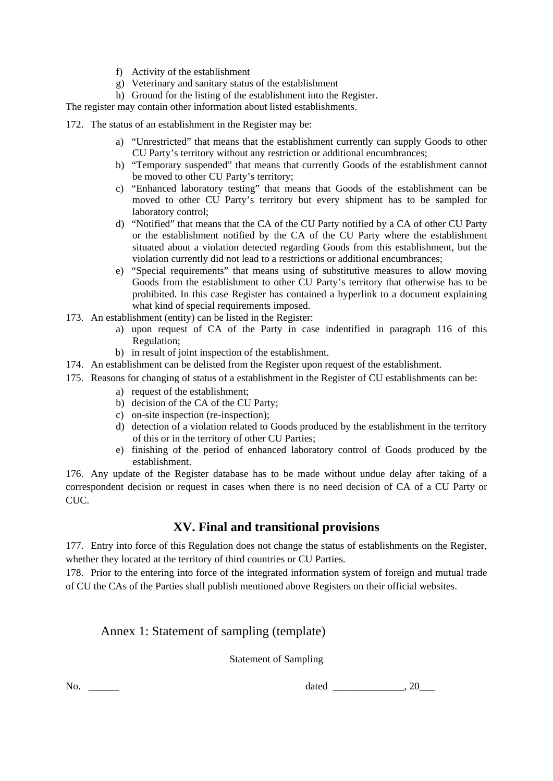- f) Activity of the establishment
- g) Veterinary and sanitary status of the establishment
- h) Ground for the listing of the establishment into the Register.

The register may contain other information about listed establishments.

172. The status of an establishment in the Register may be:

- a) "Unrestricted" that means that the establishment currently can supply Goods to other CU Party's territory without any restriction or additional encumbrances;
- b) "Temporary suspended" that means that currently Goods of the establishment cannot be moved to other CU Party's territory;
- c) "Enhanced laboratory testing" that means that Goods of the establishment can be moved to other CU Party's territory but every shipment has to be sampled for laboratory control;
- d) "Notified" that means that the CA of the CU Party notified by a CA of other CU Party or the establishment notified by the CA of the CU Party where the establishment situated about a violation detected regarding Goods from this establishment, but the violation currently did not lead to a restrictions or additional encumbrances;
- e) "Special requirements" that means using of substitutive measures to allow moving Goods from the establishment to other CU Party's territory that otherwise has to be prohibited. In this case Register has contained a hyperlink to a document explaining what kind of special requirements imposed.
- 173. An establishment (entity) can be listed in the Register:
	- a) upon request of CA of the Party in case indentified in paragraph 116 of this Regulation;
	- b) in result of joint inspection of the establishment.
- 174. An establishment can be delisted from the Register upon request of the establishment.
- 175. Reasons for changing of status of a establishment in the Register of CU establishments can be:
	- a) request of the establishment;
	- b) decision of the CA of the CU Party;
	- c) on-site inspection (re-inspection);
	- d) detection of a violation related to Goods produced by the establishment in the territory of this or in the territory of other CU Parties;
	- e) finishing of the period of enhanced laboratory control of Goods produced by the establishment.

176. Any update of the Register database has to be made without undue delay after taking of a correspondent decision or request in cases when there is no need decision of CA of a CU Party or CUC.

## **XV. Final and transitional provisions**

177. Entry into force of this Regulation does not change the status of establishments on the Register, whether they located at the territory of third countries or CU Parties.

178. Prior to the entering into force of the integrated information system of foreign and mutual trade of CU the CAs of the Parties shall publish mentioned above Registers on their official websites.

## Annex 1: Statement of sampling (template)

Statement of Sampling

No. <u>dated 20</u>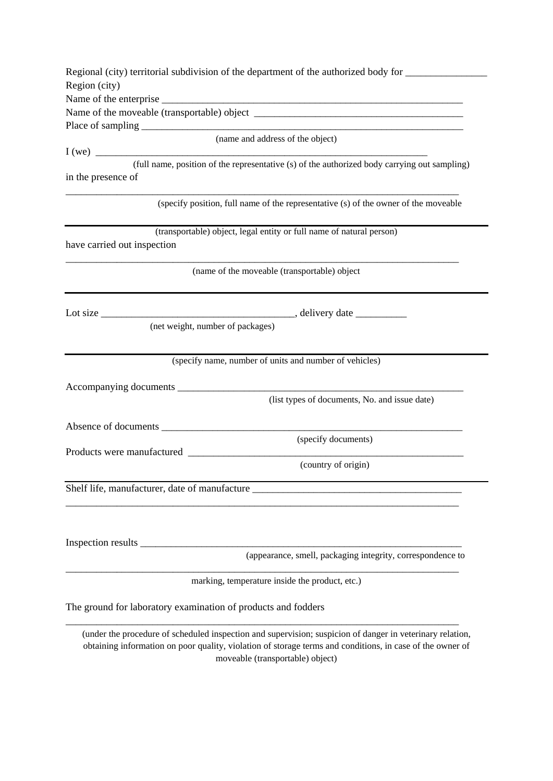|                             | Regional (city) territorial subdivision of the department of the authorized body for ______________                                                                                                                    |
|-----------------------------|------------------------------------------------------------------------------------------------------------------------------------------------------------------------------------------------------------------------|
| Region (city)               |                                                                                                                                                                                                                        |
|                             |                                                                                                                                                                                                                        |
|                             |                                                                                                                                                                                                                        |
|                             |                                                                                                                                                                                                                        |
|                             | (name and address of the object)                                                                                                                                                                                       |
|                             | I(we)                                                                                                                                                                                                                  |
|                             | (full name, position of the representative (s) of the authorized body carrying out sampling)                                                                                                                           |
| in the presence of          |                                                                                                                                                                                                                        |
|                             | (specify position, full name of the representative (s) of the owner of the moveable                                                                                                                                    |
|                             | (transportable) object, legal entity or full name of natural person)                                                                                                                                                   |
| have carried out inspection |                                                                                                                                                                                                                        |
|                             |                                                                                                                                                                                                                        |
|                             | (name of the moveable (transportable) object                                                                                                                                                                           |
|                             |                                                                                                                                                                                                                        |
|                             |                                                                                                                                                                                                                        |
| Lot size $\_\_$             |                                                                                                                                                                                                                        |
|                             | (net weight, number of packages)                                                                                                                                                                                       |
|                             |                                                                                                                                                                                                                        |
|                             | (specify name, number of units and number of vehicles)                                                                                                                                                                 |
|                             |                                                                                                                                                                                                                        |
|                             |                                                                                                                                                                                                                        |
|                             | (list types of documents, No. and issue date)                                                                                                                                                                          |
|                             |                                                                                                                                                                                                                        |
|                             |                                                                                                                                                                                                                        |
|                             | (specify documents)                                                                                                                                                                                                    |
|                             | (country of origin)                                                                                                                                                                                                    |
|                             |                                                                                                                                                                                                                        |
|                             | Shelf life, manufacturer, date of manufacture ___________________________________                                                                                                                                      |
|                             |                                                                                                                                                                                                                        |
|                             |                                                                                                                                                                                                                        |
|                             |                                                                                                                                                                                                                        |
|                             |                                                                                                                                                                                                                        |
|                             | (appearance, smell, packaging integrity, correspondence to                                                                                                                                                             |
|                             | marking, temperature inside the product, etc.)                                                                                                                                                                         |
|                             | The ground for laboratory examination of products and fodders                                                                                                                                                          |
|                             | (under the procedure of scheduled inspection and supervision; suspicion of danger in veterinary relation,<br>obtaining information on poor quality, violation of storage terms and conditions, in case of the owner of |

moveable (transportable) object)